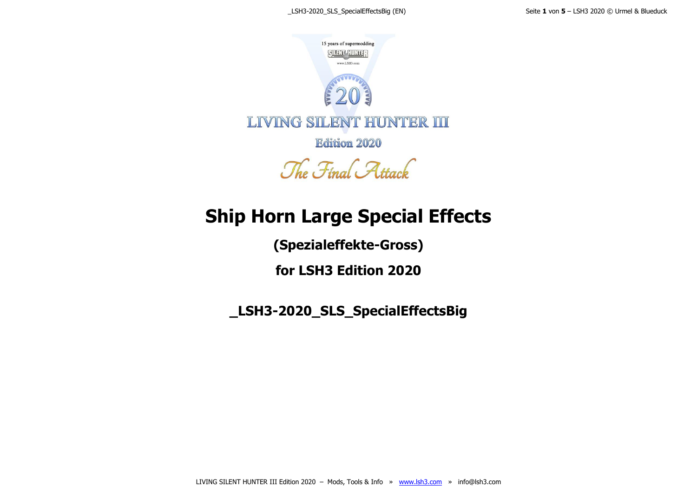

**Edition 2020** 

The Final Attack

# **Ship Horn Large Special Effects**

**(Spezialeffekte-Gross)**

**for LSH3 Edition 2020**

**\_LSH3-2020\_SLS\_SpecialEffectsBig**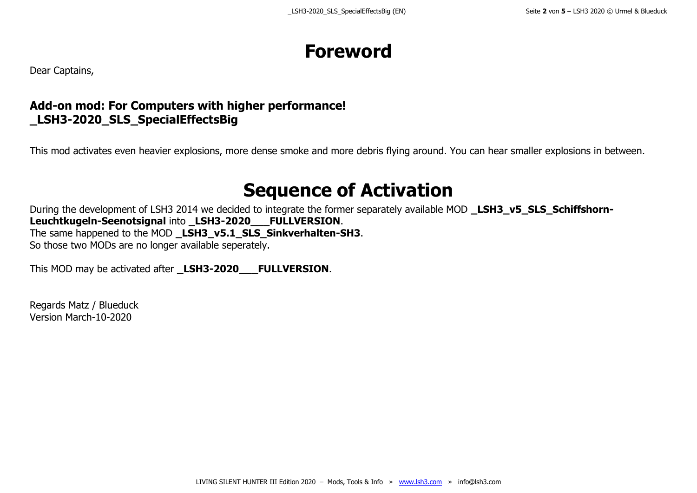## **Foreword**

Dear Captains,

#### **Add-on mod: For Computers with higher performance! \_LSH3-2020\_SLS\_SpecialEffectsBig**

This mod activates even heavier explosions, more dense smoke and more debris flying around. You can hear smaller explosions in between.

# **Sequence of Activation**

During the development of LSH3 2014 we decided to integrate the former separately available MOD **LSH3 v5 SLS Schiffshorn-Leuchtkugeln-Seenotsignal** into LSH3-2020 FULLVERSION. The same happened to the MOD LSH3 v5.1 SLS Sinkverhalten-SH3. So those two MODs are no longer available seperately.

This MOD may be activated after **LSH3-2020 FULLVERSION.** 

Regards Matz / Blueduck Version March-10-2020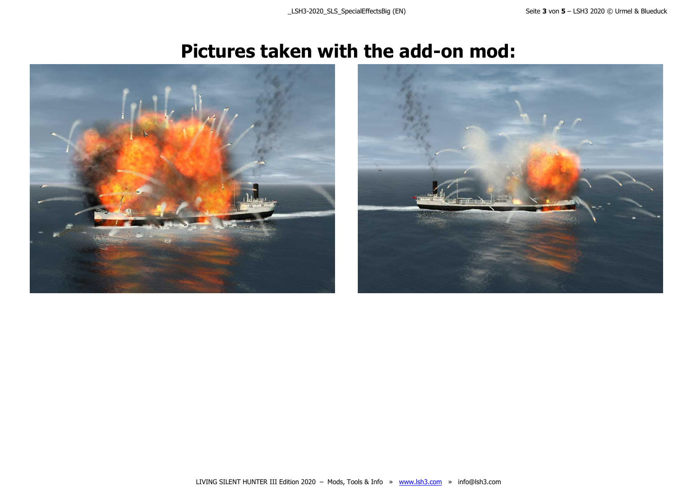## **Pictures taken with the add-on mod:**



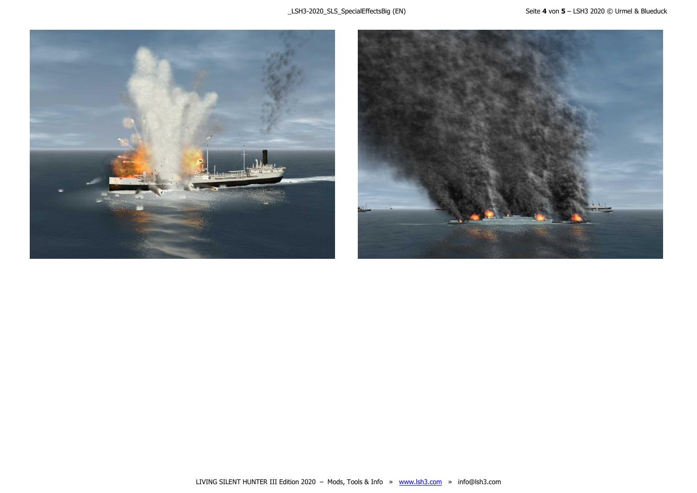